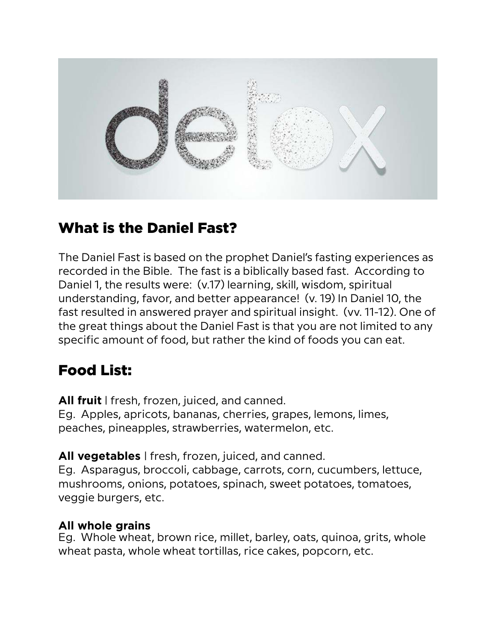

## What is the Daniel Fast?

The Daniel Fast is based on the prophet Daniel's fasting experiences as recorded in the Bible. The fast is a biblically based fast. According to Daniel 1, the results were: (v.17) learning, skill, wisdom, spiritual understanding, favor, and better appearance! (v. 19) In Daniel 10, the fast resulted in answered prayer and spiritual insight. (vv. 11-12). One of the great things about the Daniel Fast is that you are not limited to any specific amount of food, but rather the kind of foods you can eat.

# Food List:

**All fruit** | fresh, frozen, juiced, and canned. Eg. Apples, apricots, bananas, cherries, grapes, lemons, limes, peaches, pineapples, strawberries, watermelon, etc.

**All vegetables** | fresh, frozen, juiced, and canned.

Eg. Asparagus, broccoli, cabbage, carrots, corn, cucumbers, lettuce, mushrooms, onions, potatoes, spinach, sweet potatoes, tomatoes, veggie burgers, etc.

### **All whole grains**

Eg. Whole wheat, brown rice, millet, barley, oats, quinoa, grits, whole wheat pasta, whole wheat tortillas, rice cakes, popcorn, etc.